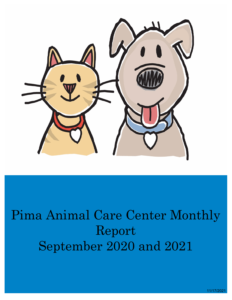

# Pima Animal Care Center Monthly Report September 2020 and 2021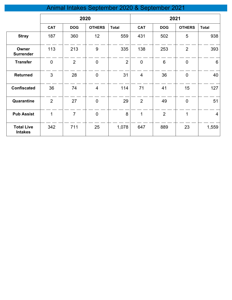# Animal Intakes September 2020 & September 2021

|                                     | 2020           |                |                |                | 2021           |                |                |                |
|-------------------------------------|----------------|----------------|----------------|----------------|----------------|----------------|----------------|----------------|
|                                     | <b>CAT</b>     | <b>DOG</b>     | <b>OTHERS</b>  | <b>Total</b>   | <b>CAT</b>     | <b>DOG</b>     | <b>OTHERS</b>  | <b>Total</b>   |
| <b>Stray</b>                        | 187            | 360            | 12             | 559            | 431            | 502            | 5              | 938            |
| Owner<br><b>Surrender</b>           | 113            | 213            | 9              | 335            | 138            | 253            | $\overline{2}$ | 393            |
| <b>Transfer</b>                     | $\mathbf 0$    | $\overline{2}$ | $\mathbf 0$    | $\overline{2}$ | $\overline{0}$ | $6\phantom{1}$ | $\mathbf 0$    | $6\phantom{1}$ |
| <b>Returned</b>                     | 3              | 28             | $\overline{0}$ | 31             | $\overline{4}$ | 36             | $\mathbf 0$    | 40             |
| <b>Confiscated</b>                  | 36             | 74             | $\overline{4}$ | 114            | 71             | 41             | 15             | 127            |
| Quarantine                          | $\overline{2}$ | 27             | $\overline{0}$ | 29             | $\overline{2}$ | 49             | $\mathbf 0$    | 51             |
| <b>Pub Assist</b>                   | $\mathbf 1$    | $\overline{7}$ | $\overline{0}$ | 8              | 1              | $\overline{2}$ | 1              | $\overline{4}$ |
| <b>Total Live</b><br><b>Intakes</b> | 342            | 711            | 25             | 1,078          | 647            | 889            | 23             | 1,559          |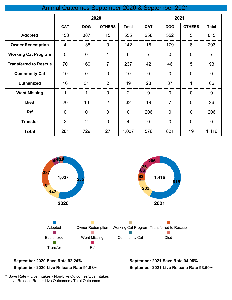### Animal Outcomes September 2020 & September 2021

|                              | 2020           |                |                |                 | 2021           |                |                |                |
|------------------------------|----------------|----------------|----------------|-----------------|----------------|----------------|----------------|----------------|
|                              | <b>CAT</b>     | <b>DOG</b>     | <b>OTHERS</b>  | <b>Total</b>    | <b>CAT</b>     | <b>DOG</b>     | <b>OTHERS</b>  | <b>Total</b>   |
| <b>Adopted</b>               | 153            | 387            | 15             | 555             | 258            | 552            | 5              | 815            |
| <b>Owner Redemption</b>      | $\overline{4}$ | 138            | $\overline{0}$ | 142             | 16             | 179            | 8              | 203            |
| <b>Working Cat Program</b>   | 5              | $\overline{0}$ | 1              | $6\phantom{1}6$ | $\overline{7}$ | $\overline{0}$ | $\overline{0}$ | $\overline{7}$ |
| <b>Transferred to Rescue</b> | 70             | 160            | $\overline{7}$ | 237             | 42             | 46             | 5              | 93             |
| <b>Community Cat</b>         | 10             | $\overline{0}$ | $\overline{0}$ | 10              | $\overline{0}$ | $\overline{0}$ | $\overline{0}$ | $\overline{0}$ |
| <b>Euthanized</b>            | 16             | 31             | $\overline{2}$ | 49              | 28             | 37             | 1              | 66             |
| <b>Went Missing</b>          | $\mathbf 1$    | $\mathbf 1$    | $\overline{0}$ | $\overline{2}$  | $\mathbf 0$    | $\overline{0}$ | $\overline{0}$ | $\mathbf 0$    |
| <b>Died</b>                  | 20             | 10             | $\overline{2}$ | 32              | 19             | $\overline{7}$ | $\overline{0}$ | 26             |
| <b>Rtf</b>                   | $\overline{0}$ | $\overline{0}$ | $\overline{0}$ | $\overline{0}$  | 206            | $\mathbf 0$    | $\overline{0}$ | 206            |
| <b>Transfer</b>              | $\overline{2}$ | $\overline{2}$ | $\overline{0}$ | $\overline{4}$  | $\mathbf 0$    | $\overline{0}$ | $\mathbf 0$    | $\mathbf 0$    |
| <b>Total</b>                 | 281            | 729            | 27             | 1,037           | 576            | 821            | 19             | 1,416          |



#### **September 2020 Save Rate 92.24% September 2021 Save Rate 94.08% September 2020 Live Release Rate 91.93%**

**September 2021 Live Release Rate 93.50%**

\*\* Save Rate = Live Intakes - Non-Live Outcomes/Live Intakes

\*\* Live Release Rate = Live Outcomes / Total Outcomes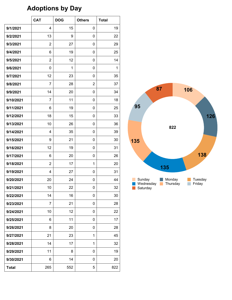# **Adoptions by Day**

|              | <b>CAT</b>     | <b>DOG</b> | <b>Others</b> | <b>Total</b> |
|--------------|----------------|------------|---------------|--------------|
| 9/1/2021     | 4              | 15         | 0             | 19           |
| 9/2/2021     | 13             | 9          | 0             | 22           |
| 9/3/2021     | $\overline{2}$ | 27         | 0             | 29           |
| 9/4/2021     | 6              | 19         | 0             | 25           |
| 9/5/2021     | $\overline{2}$ | 12         | 0             | 14           |
| 9/6/2021     | 0              | 1          | 0             | $\mathbf{1}$ |
| 9/7/2021     | 12             | 23         | 0             | 35           |
| 9/8/2021     | 7              | 28         | 2             | 37           |
| 9/9/2021     | 14             | 20         | 0             | 34           |
| 9/10/2021    | 7              | 11         | 0             | 18           |
| 9/11/2021    | 6              | 19         | 0             | 25           |
| 9/12/2021    | 18             | 15         | 0             | 33           |
| 9/13/2021    | 10             | 26         | 0             | 36           |
| 9/14/2021    | $\overline{4}$ | 35         | 0             | 39           |
| 9/15/2021    | 9              | 21         | 0             | 30           |
| 9/16/2021    | 12             | 19         | 0             | 31           |
| 9/17/2021    | 6              | 20         | 0             | 26           |
| 9/18/2021    | $\overline{2}$ | 17         | 1             | 20           |
| 9/19/2021    | $\overline{4}$ | 27         | $\mathbf 0$   | 31           |
| 9/20/2021    | 20             | 24         | 0             | 44           |
| 9/21/2021    | 10             | 22         | 0             | 32           |
| 9/22/2021    | 14             | 16         | 0             | 30           |
| 9/23/2021    | 7              | 21         | 0             | 28           |
| 9/24/2021    | 10             | 12         | 0             | 22           |
| 9/25/2021    | 6              | 11         | 0             | 17           |
| 9/26/2021    | 8              | 20         | 0             | 28           |
| 9/27/2021    | 21             | 23         | 1             | 45           |
| 9/28/2021    | 14             | 17         | 1             | 32           |
| 9/29/2021    | 11             | 8          | 0             | 19           |
| 9/30/2021    | 6              | 14         | 0             | 20           |
| <b>Total</b> | 265            | 552        | 5             | 822          |

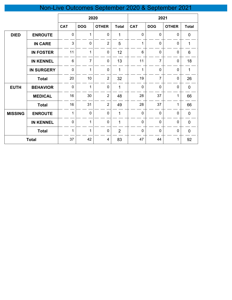# Non-Live Outcomes September 2020 & September 2021

|                |                   | 2020         |                |                | 2021           |                |                |              |              |
|----------------|-------------------|--------------|----------------|----------------|----------------|----------------|----------------|--------------|--------------|
|                |                   | <b>CAT</b>   | <b>DOG</b>     | <b>OTHER</b>   | <b>Total</b>   | <b>CAT</b>     | <b>DOG</b>     | <b>OTHER</b> | <b>Total</b> |
| <b>DIED</b>    | <b>ENROUTE</b>    | $\pmb{0}$    | 1              | 0              | 1              | $\mathbf 0$    | 0              | $\mathbf{0}$ | $\mathbf 0$  |
|                | <b>IN CARE</b>    | 3            | $\mathbf 0$    | $\overline{2}$ | 5              | 1              | $\mathbf 0$    | $\mathbf 0$  | $\mathbf 1$  |
|                | <b>IN FOSTER</b>  | 11           | $\mathbf{1}$   | $\pmb{0}$      | 12             | $6\phantom{1}$ | $\mathbf 0$    | $\pmb{0}$    | 6            |
|                | <b>IN KENNEL</b>  | 6            | $\overline{7}$ | 0              | 13             | 11             | $\overline{7}$ | $\mathbf 0$  | 18           |
|                | <b>IN SURGERY</b> | $\mathbf 0$  | 1              | $\mathbf 0$    | 1              | 1              | $\mathbf 0$    | $\mathbf 0$  | $\mathbf{1}$ |
|                | <b>Total</b>      | 20           | 10             | $\overline{2}$ | 32             | 19             | $\overline{7}$ | $\mathbf 0$  | 26           |
| <b>EUTH</b>    | <b>BEHAVIOR</b>   | $\mathbf 0$  | $\mathbf{1}$   | $\mathbf 0$    | 1              | $\mathbf 0$    | $\mathbf 0$    | $\pmb{0}$    | $\mathbf 0$  |
|                | <b>MEDICAL</b>    | 16           | 30             | $\overline{2}$ | 48             | 28             | 37             | 1            | 66           |
|                | <b>Total</b>      | 16           | 31             | $\overline{2}$ | 49             | 28             | 37             | 1            | 66           |
| <b>MISSING</b> | <b>ENROUTE</b>    | $\mathbf{1}$ | $\mathbf 0$    | $\mathbf 0$    | 1              | $\mathbf 0$    | $\mathbf 0$    | $\mathbf 0$  | $\mathbf 0$  |
|                | <b>IN KENNEL</b>  | $\mathbf 0$  | $\mathbf{1}$   | $\mathbf 0$    | 1              | $\mathbf 0$    | $\mathbf 0$    | $\mathbf 0$  | $\mathbf 0$  |
|                | <b>Total</b>      | $\mathbf{1}$ | 1              | $\overline{0}$ | $\overline{2}$ | $\overline{0}$ | $\mathbf 0$    | $\mathbf 0$  | $\pmb{0}$    |
|                | <b>Total</b>      | 37           | 42             | 4              | 83             | 47             | 44             | 1            | 92           |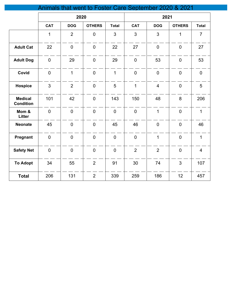## Animals that went to Foster Care September 2020 & 2021

|                                    | 2020             |                |                  |                | 2021             |                |                  |                |
|------------------------------------|------------------|----------------|------------------|----------------|------------------|----------------|------------------|----------------|
|                                    | <b>CAT</b>       | <b>DOG</b>     | <b>OTHERS</b>    | <b>Total</b>   | <b>CAT</b>       | <b>DOG</b>     | <b>OTHERS</b>    | <b>Total</b>   |
|                                    | $\mathbf 1$      | $\overline{2}$ | $\boldsymbol{0}$ | 3              | 3                | 3              | $\mathbf{1}$     | $\overline{7}$ |
| <b>Adult Cat</b>                   | 22               | $\mathbf 0$    | $\overline{0}$   | 22             | 27               | $\mathbf 0$    | $\boldsymbol{0}$ | 27             |
| <b>Adult Dog</b>                   | $\mathbf 0$      | 29             | $\overline{0}$   | 29             | $\mathbf 0$      | 53             | $\mathbf 0$      | 53             |
| Covid                              | $\mathbf 0$      | $\mathbf{1}$   | $\overline{0}$   | $\overline{1}$ | $\mathbf 0$      | $\overline{0}$ | $\overline{0}$   | $\overline{0}$ |
| <b>Hospice</b>                     | 3                | $\overline{2}$ | $\overline{0}$   | 5              | $\mathbf{1}$     | $\overline{4}$ | $\overline{0}$   | 5              |
| <b>Medical</b><br><b>Condition</b> | 101              | 42             | $\overline{0}$   | 143            | 150              | 48             | 8                | 206            |
| Mom &<br>Litter                    | $\boldsymbol{0}$ | $\overline{0}$ | $\overline{0}$   | $\overline{0}$ | $\mathbf 0$      | $\mathbf{1}$   | $\overline{0}$   | $\mathbf{1}$   |
| <b>Neonate</b>                     | 45               | $\mathbf 0$    | $\boldsymbol{0}$ | 45             | 46               | $\mathbf 0$    | $\mathbf 0$      | 46             |
| Pregnant                           | $\boldsymbol{0}$ | $\mathbf 0$    | $\overline{0}$   | $\overline{0}$ | $\boldsymbol{0}$ | $\mathbf{1}$   | $\overline{0}$   | $\mathbf{1}$   |
| <b>Safety Net</b>                  | $\boldsymbol{0}$ | $\mathbf 0$    | $\overline{0}$   | $\overline{0}$ | $\overline{2}$   | $\overline{2}$ | $\mathbf 0$      | $\overline{4}$ |
| <b>To Adopt</b>                    | 34               | 55             | $\overline{2}$   | 91             | 30               | 74             | 3                | 107            |
| <b>Total</b>                       | 206              | 131            | $\overline{2}$   | 339            | 259              | 186            | 12               | 457            |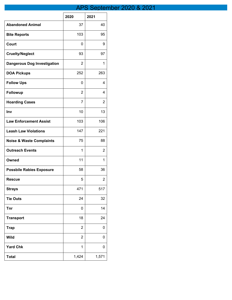## APS September 2020 & 2021

|                                     | 2020           | 2021  |
|-------------------------------------|----------------|-------|
| <b>Abandoned Animal</b>             | 37             | 40    |
| <b>Bite Reports</b>                 | 103            | 95    |
| Court                               | 0              | 9     |
| <b>Cruelty/Neglect</b>              | 93             | 97    |
| <b>Dangerous Dog Investigation</b>  | 2              | 1     |
| <b>DOA Pickups</b>                  | 252            | 263   |
| <b>Follow Ups</b>                   | 0              | 4     |
| <b>Followup</b>                     | 2              | 4     |
| <b>Hoarding Cases</b>               | 7              | 2     |
| Inv                                 | 10             | 13    |
| <b>Law Enforcement Assist</b>       | 103            | 106   |
| <b>Leash Law Violations</b>         | 147            | 221   |
| <b>Noise &amp; Waste Complaints</b> | 75             | 88    |
| <b>Outreach Events</b>              | 1              | 2     |
| Owned                               | 11             | 1     |
| <b>Possbile Rabies Exposure</b>     | 58             | 36    |
| <b>Rescue</b>                       | 5              | 2     |
| <b>Strays</b>                       | 471            | 517   |
| <b>Tie Outs</b>                     | 24             | 32    |
| <b>Tnr</b>                          | 0              | 14    |
| <b>Transport</b>                    | 18             | 24    |
| <b>Trap</b>                         | $\overline{2}$ | 0     |
| <b>Wild</b>                         | $\overline{c}$ | 0     |
| <b>Yard Chk</b>                     | 1              | 0     |
| <b>Total</b>                        | 1,424          | 1,571 |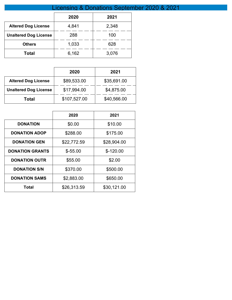| Licensing & Donations September 2020 & 2021 |       |       |  |  |  |  |
|---------------------------------------------|-------|-------|--|--|--|--|
|                                             | 2020  | 2021  |  |  |  |  |
| <b>Altered Dog License</b>                  | 4,841 | 2,348 |  |  |  |  |
| <b>Unaltered Dog License</b>                | 288   | 100   |  |  |  |  |
| <b>Others</b>                               | 1,033 | 628   |  |  |  |  |
| <b>Total</b>                                | 6,162 | 3,076 |  |  |  |  |

|                              | 2020         | 2021        |
|------------------------------|--------------|-------------|
| <b>Altered Dog License</b>   | \$89,533.00  | \$35,691.00 |
| <b>Unaltered Dog License</b> | \$17,994.00  | \$4,875.00  |
| Total                        | \$107,527.00 | \$40,566.00 |

|                        | 2020        | 2021        |
|------------------------|-------------|-------------|
| <b>DONATION</b>        | \$0.00      | \$10.00     |
| <b>DONATION ADOP</b>   | \$288.00    | \$175.00    |
| <b>DONATION GEN</b>    | \$22,772.59 | \$28,904.00 |
| <b>DONATION GRANTS</b> | $$ -55.00$  | $$-120.00$  |
| <b>DONATION OUTR</b>   | \$55.00     | \$2.00      |
| <b>DONATION S/N</b>    | \$370.00    | \$500.00    |
| <b>DONATION SAMS</b>   | \$2,883.00  | \$650.00    |
| Total                  | \$26,313.59 | \$30,121.00 |